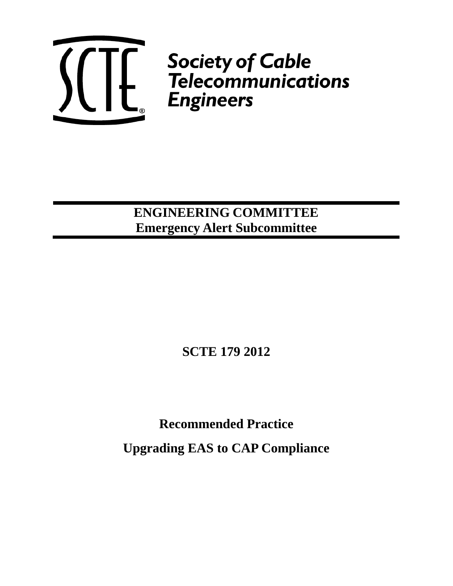

**ENGINEERING COMMITTEE Emergency Alert Subcommittee**

**SCTE 179 2012**

**Recommended Practice** 

**Upgrading EAS to CAP Compliance**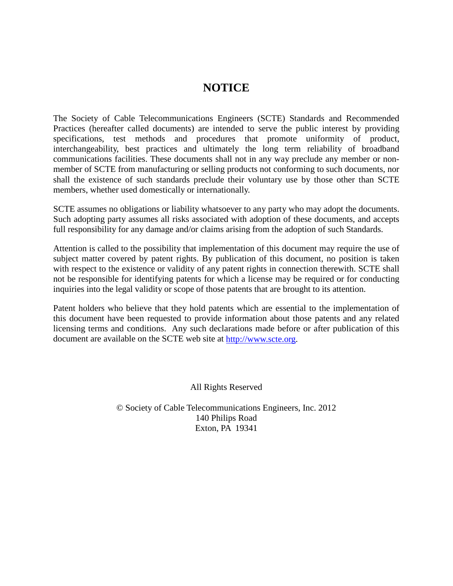# **NOTICE**

The Society of Cable Telecommunications Engineers (SCTE) Standards and Recommended Practices (hereafter called documents) are intended to serve the public interest by providing specifications, test methods and procedures that promote uniformity of product, interchangeability, best practices and ultimately the long term reliability of broadband communications facilities. These documents shall not in any way preclude any member or nonmember of SCTE from manufacturing or selling products not conforming to such documents, nor shall the existence of such standards preclude their voluntary use by those other than SCTE members, whether used domestically or internationally.

SCTE assumes no obligations or liability whatsoever to any party who may adopt the documents. Such adopting party assumes all risks associated with adoption of these documents, and accepts full responsibility for any damage and/or claims arising from the adoption of such Standards.

Attention is called to the possibility that implementation of this document may require the use of subject matter covered by patent rights. By publication of this document, no position is taken with respect to the existence or validity of any patent rights in connection therewith. SCTE shall not be responsible for identifying patents for which a license may be required or for conducting inquiries into the legal validity or scope of those patents that are brought to its attention.

Patent holders who believe that they hold patents which are essential to the implementation of this document have been requested to provide information about those patents and any related licensing terms and conditions. Any such declarations made before or after publication of this document are available on the SCTE web site at [http://www.scte.org.](http://www.scte.org/)

All Rights Reserved

© Society of Cable Telecommunications Engineers, Inc. 2012 140 Philips Road Exton, PA 19341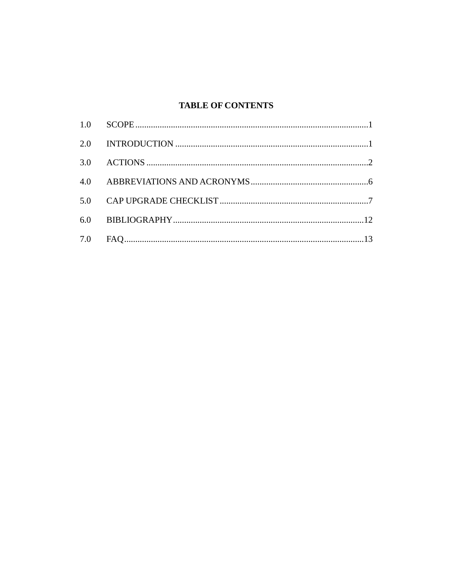# **TABLE OF CONTENTS**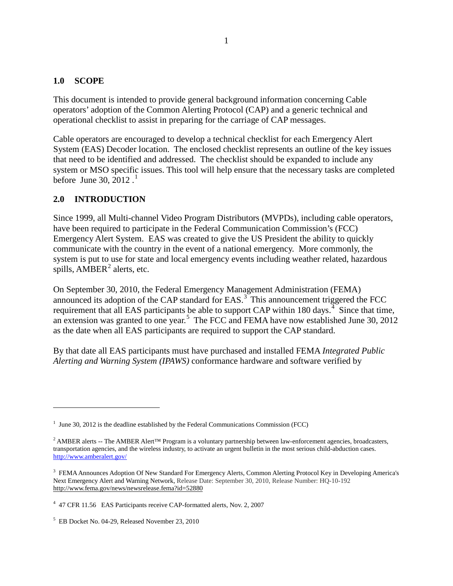### **1.0 SCOPE**

This document is intended to provide general background information concerning Cable operators' adoption of the Common Alerting Protocol (CAP) and a generic technical and operational checklist to assist in preparing for the carriage of CAP messages.

Cable operators are encouraged to develop a technical checklist for each Emergency Alert System (EAS) Decoder location. The enclosed checklist represents an outline of the key issues that need to be identified and addressed. The checklist should be expanded to include any system or MSO specific issues. This tool will help ensure that the necessary tasks are completed before June 30,  $2012$  $2012$  $2012$ .<sup>1</sup>

### **2.0 INTRODUCTION**

 $\overline{a}$ 

Since 1999, all Multi-channel Video Program Distributors (MVPDs), including cable operators, have been required to participate in the Federal Communication Commission's (FCC) Emergency Alert System. EAS was created to give the US President the ability to quickly communicate with the country in the event of a national emergency. More commonly, the system is put to use for state and local emergency events including weather related, hazardous spills,  $AMBER<sup>2</sup>$  $AMBER<sup>2</sup>$  $AMBER<sup>2</sup>$  alerts, etc.

On September 30, 2010, the Federal Emergency Management Administration (FEMA) announced its adoption of the CAP standard for EAS.<sup>[3](#page-3-2)</sup> This announcement triggered the FCC requirement that all EAS participants be able to support CAP within 180 days.<sup> $4\degree$  $4\degree$ </sup> Since that time, an extension was granted to one year.<sup>[5](#page-3-4)</sup> The FCC and FEMA have now established June 30, 2012 as the date when all EAS participants are required to support the CAP standard.

By that date all EAS participants must have purchased and installed FEMA *Integrated Public Alerting and Warning System (IPAWS)* conformance hardware and software verified by

<span id="page-3-0"></span> $1$  June 30, 2012 is the deadline established by the Federal Communications Commission (FCC)

<span id="page-3-1"></span><sup>&</sup>lt;sup>2</sup> AMBER alerts -- The AMBER Alert<sup>™</sup> Program is a voluntary partnership between law-enforcement agencies, broadcasters, transportation agencies, and the wireless industry, to activate an urgent bulletin in the most serious child-abduction cases. <http://www.amberalert.gov/>

<span id="page-3-2"></span><sup>&</sup>lt;sup>3</sup> FEMA Announces Adoption Of New Standard For Emergency Alerts, Common Alerting Protocol Key in Developing America's Next Emergency Alert and Warning Network, Release Date: September 30, 2010, Release Number: HQ-10-192 http://www.fema.gov/news/newsrelease.fema?id=52880

<span id="page-3-3"></span><sup>&</sup>lt;sup>4</sup> 47 CFR 11.56 EAS Participants receive CAP-formatted alerts, Nov. 2, 2007

<span id="page-3-4"></span><sup>5</sup> EB Docket No. 04-29, Released November 23, 2010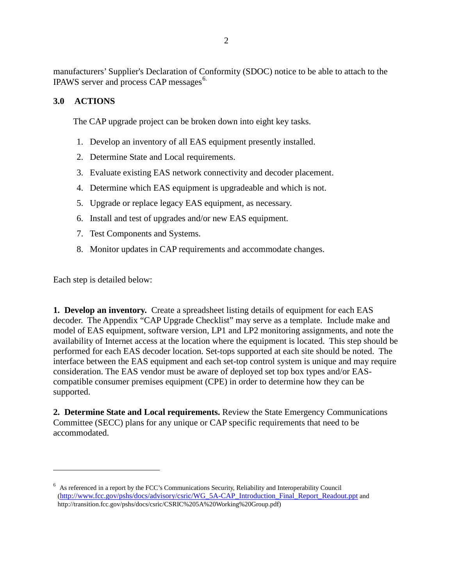manufacturers' Supplier's Declaration of Conformity (SDOC) notice to be able to attach to the IPAWS server and process CAP messages<sup>[6.](#page-4-0)</sup>

# **3.0 ACTIONS**

The CAP upgrade project can be broken down into eight key tasks.

- 1. Develop an inventory of all EAS equipment presently installed.
- 2. Determine State and Local requirements.
- 3. Evaluate existing EAS network connectivity and decoder placement.
- 4. Determine which EAS equipment is upgradeable and which is not.
- 5. Upgrade or replace legacy EAS equipment, as necessary.
- 6. Install and test of upgrades and/or new EAS equipment.
- 7. Test Components and Systems.
- 8. Monitor updates in CAP requirements and accommodate changes.

Each step is detailed below:

 $\overline{a}$ 

**1. Develop an inventory.** Create a spreadsheet listing details of equipment for each EAS decoder. The Appendix "CAP Upgrade Checklist" may serve as a template. Include make and model of EAS equipment, software version, LP1 and LP2 monitoring assignments, and note the availability of Internet access at the location where the equipment is located. This step should be performed for each EAS decoder location. Set-tops supported at each site should be noted. The interface between the EAS equipment and each set-top control system is unique and may require consideration. The EAS vendor must be aware of deployed set top box types and/or EAScompatible consumer premises equipment (CPE) in order to determine how they can be supported.

**2. Determine State and Local requirements.** Review the State Emergency Communications Committee (SECC) plans for any unique or CAP specific requirements that need to be accommodated.

<span id="page-4-0"></span><sup>6</sup> As referenced in a report by the FCC's Communications Security, Reliability and Interoperability Council [\(http://www.fcc.gov/pshs/docs/advisory/csric/WG\\_5A-CAP\\_Introduction\\_Final\\_Report\\_Readout.ppt](http://www.fcc.gov/pshs/docs/advisory/csric/WG_5A-CAP_Introduction_Final_Report_Readout.ppt) and http://transition.fcc.gov/pshs/docs/csric/CSRIC%205A%20Working%20Group.pdf)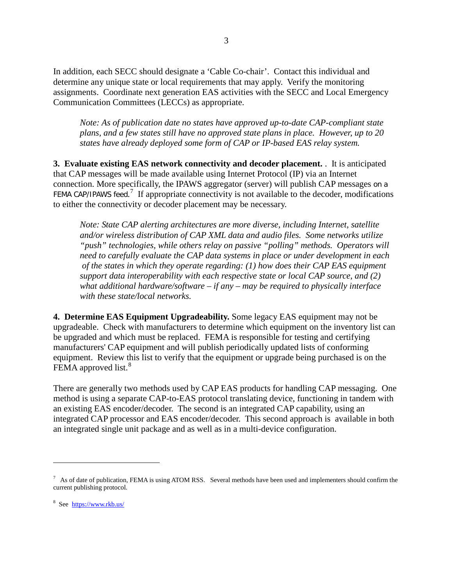In addition, each SECC should designate a 'Cable Co-chair'. Contact this individual and determine any unique state or local requirements that may apply. Verify the monitoring assignments. Coordinate next generation EAS activities with the SECC and Local Emergency Communication Committees (LECCs) as appropriate.

*Note: As of publication date no states have approved up-to-date CAP-compliant state plans, and a few states still have no approved state plans in place. However, up to 20 states have already deployed some form of CAP or IP-based EAS relay system.*

**3. Evaluate existing EAS network connectivity and decoder placement.** . It is anticipated that CAP messages will be made available using Internet Protocol (IP) via an Internet connection. More specifically, the IPAWS aggregator (server) will publish CAP messages on a FEMA CAP/IPAWS feed.<sup>[7](#page-5-0)</sup> If appropriate connectivity is not available to the decoder, modifications to either the connectivity or decoder placement may be necessary.

*Note: State CAP alerting architectures are more diverse, including Internet, satellite and/or wireless distribution of CAP XML data and audio files. Some networks utilize "push" technologies, while others relay on passive "polling" methods. Operators will need to carefully evaluate the CAP data systems in place or under development in each of the states in which they operate regarding: (1) how does their CAP EAS equipment support data interoperability with each respective state or local CAP source, and (2) what additional hardware/software – if any – may be required to physically interface with these state/local networks.*

**4. Determine EAS Equipment Upgradeability.** Some legacy EAS equipment may not be upgradeable. Check with manufacturers to determine which equipment on the inventory list can be upgraded and which must be replaced. FEMA is responsible for testing and certifying manufacturers' CAP equipment and will publish periodically updated lists of conforming equipment. Review this list to verify that the equipment or upgrade being purchased is on the FEMA approved list.<sup>[8](#page-5-0)</sup>

There are generally two methods used by CAP EAS products for handling CAP messaging. One method is using a separate CAP-to-EAS protocol translating device, functioning in tandem with an existing EAS encoder/decoder. The second is an integrated CAP capability, using an integrated CAP processor and EAS encoder/decoder. This second approach is available in both an integrated single unit package and as well as in a multi-device configuration.

 $\overline{a}$ 

<span id="page-5-0"></span> $7$  As of date of publication, FEMA is using ATOM RSS. Several methods have been used and implementers should confirm the current publishing protocol.

<sup>8</sup> See <https://www.rkb.us/>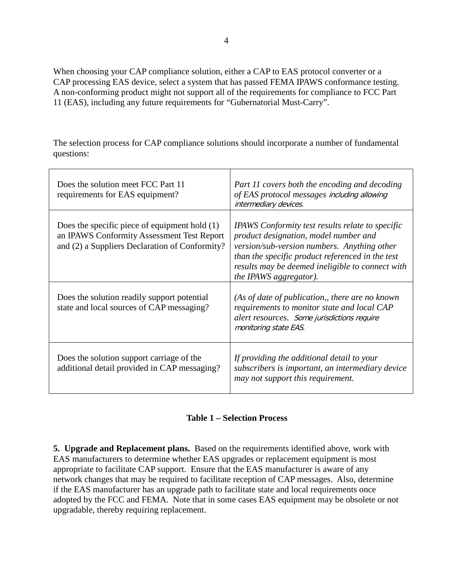When choosing your CAP compliance solution, either a CAP to EAS protocol converter or a CAP processing EAS device, select a system that has passed FEMA IPAWS conformance testing. A non-conforming product might not support all of the requirements for compliance to FCC Part 11 (EAS), including any future requirements for "Gubernatorial Must-Carry".

The selection process for CAP compliance solutions should incorporate a number of fundamental questions:

| Does the solution meet FCC Part 11<br>requirements for EAS equipment?                                                                           | Part 11 covers both the encoding and decoding<br>of EAS protocol messages including allowing<br>intermediary devices.                                                                                                                                                             |
|-------------------------------------------------------------------------------------------------------------------------------------------------|-----------------------------------------------------------------------------------------------------------------------------------------------------------------------------------------------------------------------------------------------------------------------------------|
| Does the specific piece of equipment hold $(1)$<br>an IPAWS Conformity Assessment Test Report<br>and (2) a Suppliers Declaration of Conformity? | <b>IPAWS</b> Conformity test results relate to specific<br>product designation, model number and<br>version/sub-version numbers. Anything other<br>than the specific product referenced in the test<br>results may be deemed ineligible to connect with<br>the IPAWS aggregator). |
| Does the solution readily support potential<br>state and local sources of CAP messaging?                                                        | (As of date of publication,, there are no known<br>requirements to monitor state and local CAP<br>alert resources. Some jurisdictions require<br>monitoring state EAS.                                                                                                            |
| Does the solution support carriage of the<br>additional detail provided in CAP messaging?                                                       | If providing the additional detail to your<br>subscribers is important, an intermediary device<br>may not support this requirement.                                                                                                                                               |

## **Table 1 – Selection Process**

**5. Upgrade and Replacement plans.** Based on the requirements identified above, work with EAS manufacturers to determine whether EAS upgrades or replacement equipment is most appropriate to facilitate CAP support. Ensure that the EAS manufacturer is aware of any network changes that may be required to facilitate reception of CAP messages. Also, determine if the EAS manufacturer has an upgrade path to facilitate state and local requirements once adopted by the FCC and FEMA. Note that in some cases EAS equipment may be obsolete or not upgradable, thereby requiring replacement.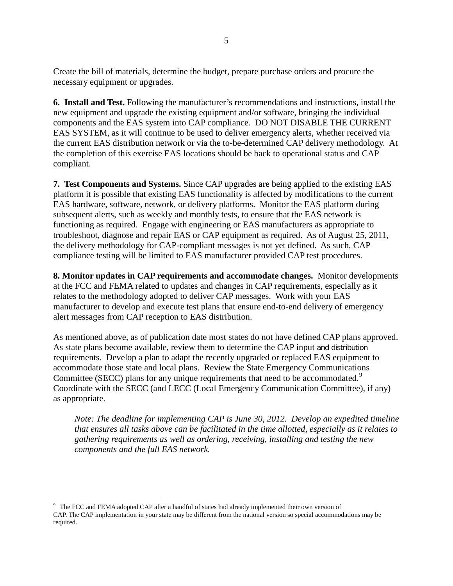Create the bill of materials, determine the budget, prepare purchase orders and procure the necessary equipment or upgrades.

**6. Install and Test.** Following the manufacturer's recommendations and instructions, install the new equipment and upgrade the existing equipment and/or software, bringing the individual components and the EAS system into CAP compliance. DO NOT DISABLE THE CURRENT EAS SYSTEM, as it will continue to be used to deliver emergency alerts, whether received via the current EAS distribution network or via the to-be-determined CAP delivery methodology. At the completion of this exercise EAS locations should be back to operational status and CAP compliant.

**7. Test Components and Systems.** Since CAP upgrades are being applied to the existing EAS platform it is possible that existing EAS functionality is affected by modifications to the current EAS hardware, software, network, or delivery platforms. Monitor the EAS platform during subsequent alerts, such as weekly and monthly tests, to ensure that the EAS network is functioning as required. Engage with engineering or EAS manufacturers as appropriate to troubleshoot, diagnose and repair EAS or CAP equipment as required. As of August 25, 2011, the delivery methodology for CAP-compliant messages is not yet defined. As such, CAP compliance testing will be limited to EAS manufacturer provided CAP test procedures.

**8. Monitor updates in CAP requirements and accommodate changes.** Monitor developments at the FCC and FEMA related to updates and changes in CAP requirements, especially as it relates to the methodology adopted to deliver CAP messages. Work with your EAS manufacturer to develop and execute test plans that ensure end-to-end delivery of emergency alert messages from CAP reception to EAS distribution.

As mentioned above, as of publication date most states do not have defined CAP plans approved. As state plans become available, review them to determine the CAP input and distribution requirements. Develop a plan to adapt the recently upgraded or replaced EAS equipment to accommodate those state and local plans. Review the State Emergency Communications Committee (SECC) plans for any unique requirements that need to be accommodated.<sup>[9](#page-7-0)</sup> Coordinate with the SECC (and LECC (Local Emergency Communication Committee), if any) as appropriate.

*Note: The deadline for implementing CAP is June 30, 2012. Develop an expedited timeline that ensures all tasks above can be facilitated in the time allotted, especially as it relates to gathering requirements as well as ordering, receiving, installing and testing the new components and the full EAS network.* 

<span id="page-7-0"></span><sup>&</sup>lt;sup>9</sup> The FCC and FEMA adopted CAP after a handful of states had already implemented their own version of CAP. The CAP implementation in your state may be different from the national version so special accommodations may be required.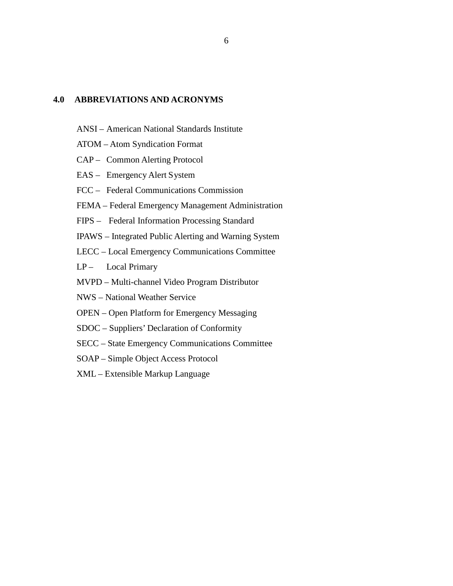#### **4.0 ABBREVIATIONS AND ACRONYMS**

- ANSI American National Standards Institute
- ATOM Atom Syndication Format
- CAP Common Alerting Protocol
- EAS Emergency Alert System
- FCC Federal Communications Commission
- FEMA Federal Emergency Management Administration
- FIPS Federal Information Processing Standard
- IPAWS Integrated Public Alerting and Warning System
- LECC Local Emergency Communications Committee
- LP- Local Primary
- MVPD Multi-channel Video Program Distributor
- NWS National Weather Service
- OPEN Open Platform for Emergency Messaging
- SDOC Suppliers' Declaration of Conformity
- SECC State Emergency Communications Committee
- SOAP Simple Object Access Protocol
- XML Extensible Markup Language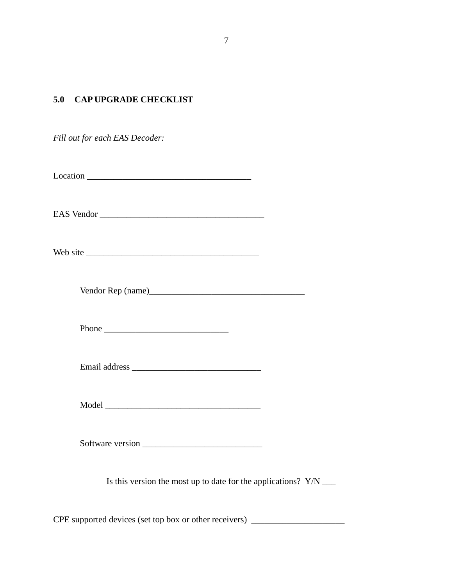## **5.0 CAP UPGRADE CHECKLIST**

*Fill out for each EAS Decoder:*

 $Location$   $\qquad \qquad$ 

EAS Vendor \_\_\_\_\_\_\_\_\_\_\_\_\_\_\_\_\_\_\_\_\_\_\_\_\_\_\_\_\_\_\_\_\_\_\_\_\_

Web site \_\_\_\_\_\_\_\_\_\_\_\_\_\_\_\_\_\_\_\_\_\_\_\_\_\_\_\_\_\_\_\_\_\_\_\_\_\_\_

Vendor Rep (name)\_\_\_\_\_\_\_\_\_\_\_\_\_\_\_\_\_\_\_\_\_\_\_\_\_\_\_\_\_\_\_\_\_\_\_

Phone \_\_\_\_\_\_\_\_\_\_\_\_\_\_\_\_\_\_\_\_\_\_\_\_\_\_\_\_

Email address \_\_\_\_\_\_\_\_\_\_\_\_\_\_\_\_\_\_\_\_\_\_\_\_\_\_\_\_\_

Model \_\_\_\_\_\_\_\_\_\_\_\_\_\_\_\_\_\_\_\_\_\_\_\_\_\_\_\_\_\_\_\_\_\_\_

Software version \_\_\_\_\_\_\_\_\_\_\_\_\_\_\_\_\_\_\_\_\_\_\_\_\_\_\_

Is this version the most up to date for the applications? Y/N \_\_\_

CPE supported devices (set top box or other receivers) \_\_\_\_\_\_\_\_\_\_\_\_\_\_\_\_\_\_\_\_\_\_\_\_\_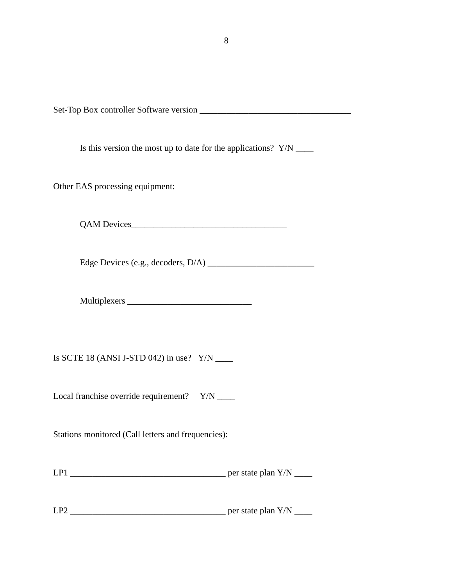8

Set-Top Box controller Software version \_\_\_\_\_\_\_\_\_\_\_\_\_\_\_\_\_\_\_\_\_\_\_\_\_\_\_\_\_\_\_\_\_\_

Is this version the most up to date for the applications? Y/N \_\_\_\_\_

Other EAS processing equipment:

QAM Devices

Edge Devices (e.g., decoders, D/A) \_\_\_\_\_\_\_\_\_\_\_\_\_\_\_\_\_\_\_\_\_\_\_\_

Multiplexers \_\_\_\_\_\_\_\_\_\_\_\_\_\_\_\_\_\_\_\_\_\_\_\_\_\_\_\_

Is SCTE 18 (ANSI J-STD 042) in use?  $Y/N$  \_\_\_\_\_\_

Local franchise override requirement? Y/N \_\_\_\_

Stations monitored (Call letters and frequencies):

| LP1 | Y/N<br>per state plan |
|-----|-----------------------|
|-----|-----------------------|

LP2 \_\_\_\_\_\_\_\_\_\_\_\_\_\_\_\_\_\_\_\_\_\_\_\_\_\_\_\_\_\_\_\_\_\_\_ per state plan Y/N \_\_\_\_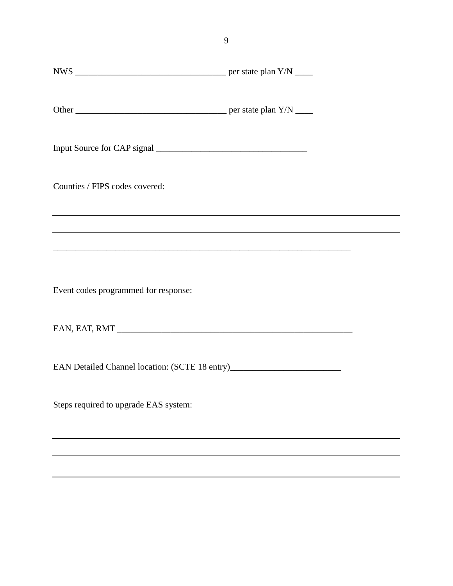| Counties / FIPS codes covered:                                                   |  |
|----------------------------------------------------------------------------------|--|
|                                                                                  |  |
|                                                                                  |  |
| Event codes programmed for response:                                             |  |
|                                                                                  |  |
| EAN Detailed Channel location: (SCTE 18 entry)__________________________________ |  |
| Steps required to upgrade EAS system:                                            |  |
|                                                                                  |  |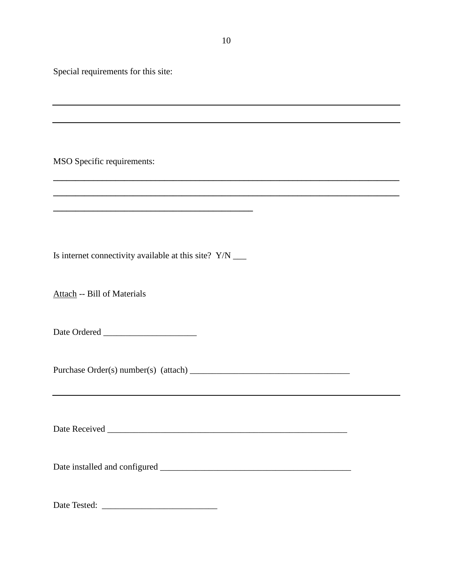Special requirements for this site:

MSO Specific requirements:

Is internet connectivity available at this site? Y/N \_\_\_

**\_\_\_\_\_\_\_\_\_\_\_\_\_\_\_\_\_\_\_\_\_\_\_\_\_\_\_\_\_\_\_\_\_\_\_\_\_\_\_\_\_\_\_\_\_**

Attach -- Bill of Materials

Date Ordered \_\_\_\_\_\_\_\_\_\_\_\_\_\_\_\_\_\_\_\_\_

Purchase Order(s) number(s) (attach) \_\_\_\_\_\_\_\_\_\_\_\_\_\_\_\_\_\_\_\_\_\_\_\_\_\_\_\_\_\_\_\_\_\_\_\_

Date Received \_\_\_\_\_\_\_\_\_\_\_\_\_\_\_\_\_\_\_\_\_\_\_\_\_\_\_\_\_\_\_\_\_\_\_\_\_\_\_\_\_\_\_\_\_\_\_\_\_\_\_\_\_\_

Date installed and configured \_\_\_\_\_\_\_\_\_\_\_\_\_\_\_\_\_\_\_\_\_\_\_\_\_\_\_\_\_\_\_\_\_\_\_\_\_\_\_\_\_\_\_

Date Tested: \_\_\_\_\_\_\_\_\_\_\_\_\_\_\_\_\_\_\_\_\_\_\_\_\_\_

**\_\_\_\_\_\_\_\_\_\_\_\_\_\_\_\_\_\_\_\_\_\_\_\_\_\_\_\_\_\_\_\_\_\_\_\_\_\_\_\_\_\_\_\_\_\_\_\_\_\_\_\_\_\_\_\_\_\_\_\_\_\_\_\_\_\_\_\_\_\_\_\_\_\_\_\_\_\_**

**\_\_\_\_\_\_\_\_\_\_\_\_\_\_\_\_\_\_\_\_\_\_\_\_\_\_\_\_\_\_\_\_\_\_\_\_\_\_\_\_\_\_\_\_\_\_\_\_\_\_\_\_\_\_\_\_\_\_\_\_\_\_\_\_\_\_\_\_\_\_\_\_\_\_\_\_\_\_**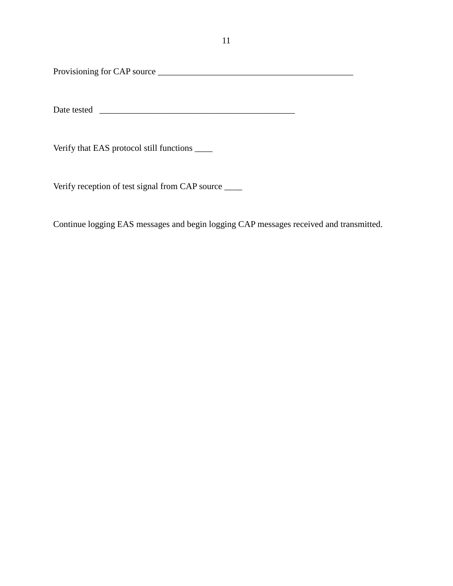Provisioning for CAP source \_\_\_\_\_\_\_\_\_\_\_\_\_\_\_\_\_\_\_\_\_\_\_\_\_\_\_\_\_\_\_\_\_\_\_\_\_\_\_\_\_\_\_\_

Date tested \_\_\_\_\_\_\_\_\_\_\_\_\_\_\_\_\_\_\_\_\_\_\_\_\_\_\_\_\_\_\_\_\_\_\_\_\_\_\_\_\_\_\_\_

Verify that EAS protocol still functions \_\_\_\_

Verify reception of test signal from CAP source \_\_\_\_

Continue logging EAS messages and begin logging CAP messages received and transmitted.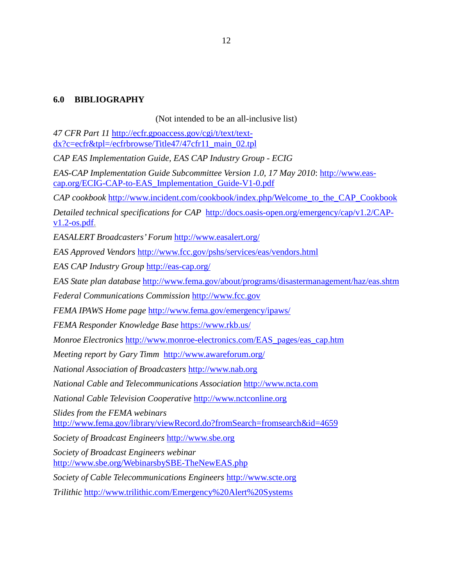## **6.0 BIBLIOGRAPHY**

#### (Not intended to be an all-inclusive list)

*47 CFR Part 11* [http://ecfr.gpoaccess.gov/cgi/t/text/text](http://ecfr.gpoaccess.gov/cgi/t/text/text-dx?c=ecfr&tpl=/ecfrbrowse/Title47/47cfr11_main_02.tpl)[dx?c=ecfr&tpl=/ecfrbrowse/Title47/47cfr11\\_main\\_02.tpl](http://ecfr.gpoaccess.gov/cgi/t/text/text-dx?c=ecfr&tpl=/ecfrbrowse/Title47/47cfr11_main_02.tpl)

*CAP EAS Implementation Guide, EAS CAP Industry Group - ECIG*

*EAS-CAP Implementation Guide Subcommittee Version 1.0, 17 May 2010*: [http://www.eas](http://www.eas-cap.org/ECIG-CAP-to-EAS_Implementation_Guide-V1-0.pdf)[cap.org/ECIG-CAP-to-EAS\\_Implementation\\_Guide-V1-0.pdf](http://www.eas-cap.org/ECIG-CAP-to-EAS_Implementation_Guide-V1-0.pdf)

*CAP cookbook* [http://www.incident.com/cookbook/index.php/Welcome\\_to\\_the\\_CAP\\_Cookbook](http://www.incident.com/cookbook/index.php/Welcome_to_the_CAP_Cookbook)

*Detailed technical specifications for CAP* [http://docs.oasis-open.org/emergency/cap/v1.2/CAP](http://docs.oasis-open.org/emergency/cap/v1.2/CAP-v1.2-os.pdf) $v1.2$ -os.pdf.

*EASALERT Broadcasters' Forum* <http://www.easalert.org/>

*EAS Approved Vendors* <http://www.fcc.gov/pshs/services/eas/vendors.html>

*EAS CAP Industry Group* <http://eas-cap.org/>

*EAS State plan database* http://www.fema.gov/about/programs/disastermanagement/haz/eas.shtm

*Federal Communications Commission* [http://www.fcc.gov](http://www.fcc.gov/)

*FEMA IPAWS Home page* <http://www.fema.gov/emergency/ipaws/>

*FEMA Responder Knowledge Base* <https://www.rkb.us/>

*Monroe Electronics* [http://www.monroe-electronics.com/EAS\\_pages/eas\\_cap.htm](http://www.monroe-electronics.com/EAS_pages/eas_cap.htm)

*Meeting report by Gary Timm* http://www.awareforum.org/

*National Association of Broadcasters* [http://www.nab.org](http://www.nab.org/)

*National Cable and Telecommunications Association* [http://www.ncta.com](http://www.ncta.com/)

*National Cable Television Cooperative* [http://www.nctconline.org](http://www.nctconline.org/)

*Slides from the FEMA webinars*  http://www.fema.gov/library/viewRecord.do?fromSearch=fromsearch&id=4659

*Society of Broadcast Engineers* [http://www.sbe.org](http://www.sbe.org/)

*Society of Broadcast Engineers webinar* <http://www.sbe.org/WebinarsbySBE-TheNewEAS.php>

*Society of Cable Telecommunications Engineers* [http://www.scte.org](http://www.scte.org/)

*Trilithic* <http://www.trilithic.com/Emergency%20Alert%20Systems>